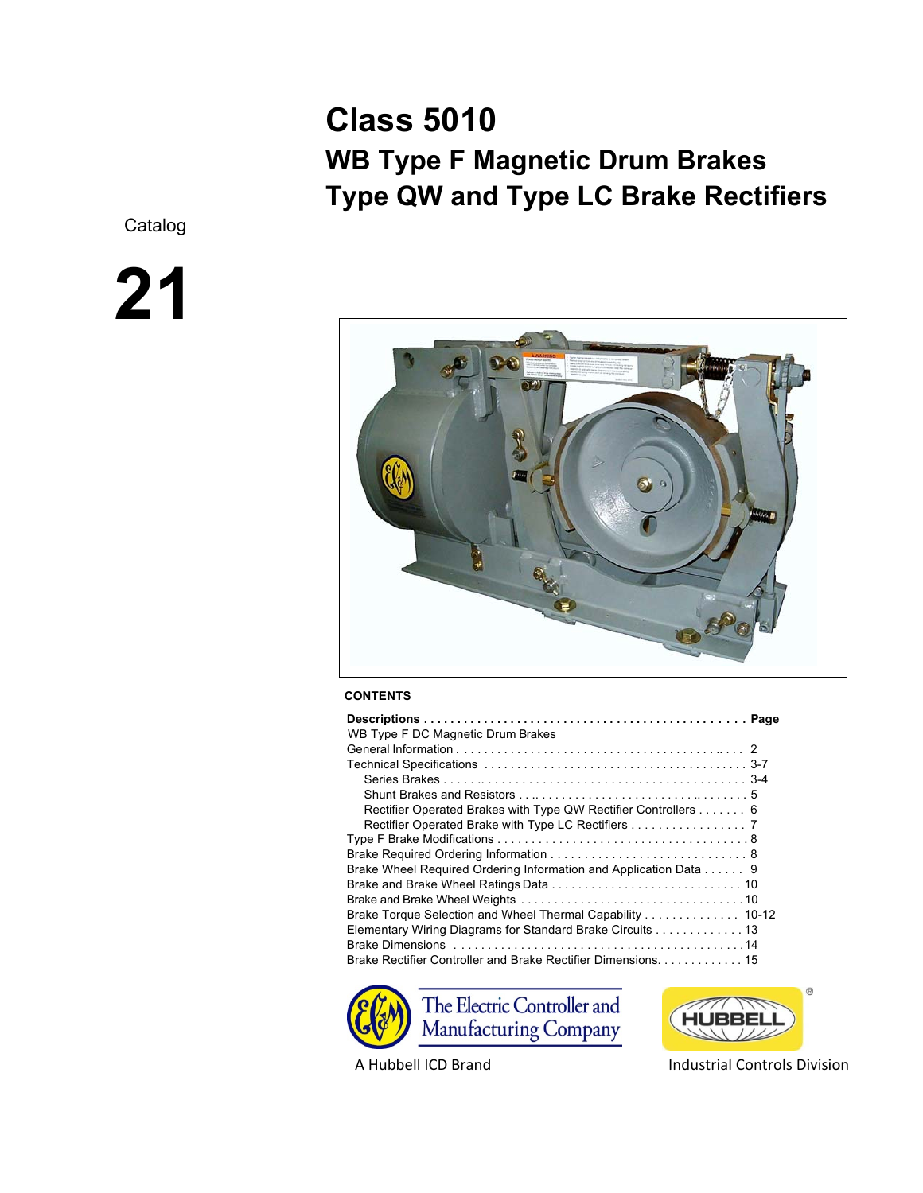# **Class 5010 WB Type F Magnetic Drum Brakes Type QW and Type LC Brake Rectifiers**

Catalog

# **21**



# **CONTENTS**

| WB Type F DC Magnetic Drum Brakes                                |  |
|------------------------------------------------------------------|--|
|                                                                  |  |
|                                                                  |  |
|                                                                  |  |
|                                                                  |  |
| Rectifier Operated Brakes with Type QW Rectifier Controllers 6   |  |
| Rectifier Operated Brake with Type LC Rectifiers 7               |  |
|                                                                  |  |
|                                                                  |  |
| Brake Wheel Required Ordering Information and Application Data 9 |  |
|                                                                  |  |
|                                                                  |  |
| Brake Torque Selection and Wheel Thermal Capability 10-12        |  |
| Elementary Wiring Diagrams for Standard Brake Circuits 13        |  |
|                                                                  |  |
|                                                                  |  |





A Hubbell ICD Brand Industrial Controls Division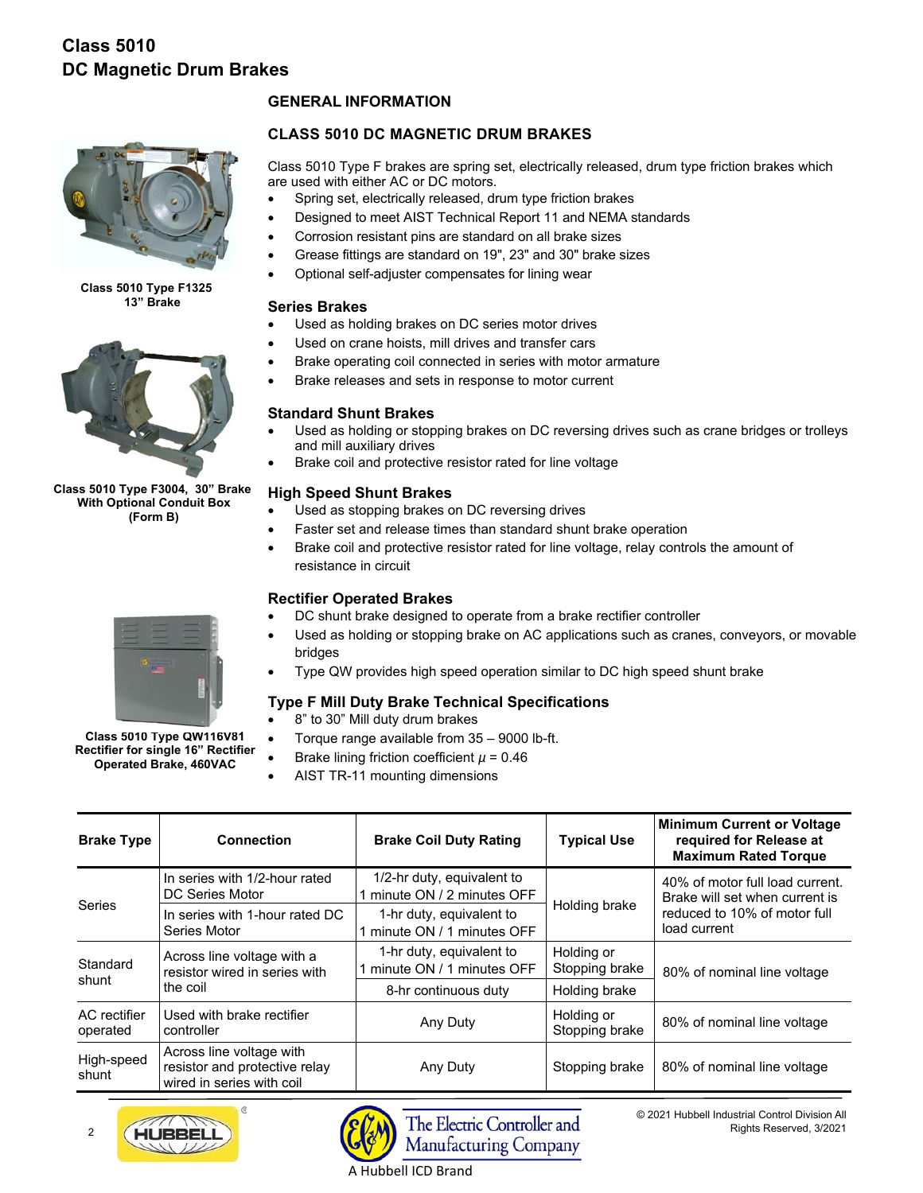

**Class 5010 Type F1325 13" Brake**



**Class 5010 Type F3004, 30" Brake With Optional Conduit Box (Form B)** 

# **GENERAL INFORMATION**

# **CLASS 5010 DC MAGNETIC DRUM BRAKES**

Class 5010 Type F brakes are spring set, electrically released, drum type friction brakes which are used with either AC or DC motors.

- Spring set, electrically released, drum type friction brakes
- Designed to meet AIST Technical Report 11 and NEMA standards
- Corrosion resistant pins are standard on all brake sizes
- Grease fittings are standard on 19", 23" and 30" brake sizes
- Optional self-adjuster compensates for lining wear

# **Series Brakes**

- Used as holding brakes on DC series motor drives
- Used on crane hoists, mill drives and transfer cars
- Brake operating coil connected in series with motor armature
- Brake releases and sets in response to motor current

# **Standard Shunt Brakes**

- Used as holding or stopping brakes on DC reversing drives such as crane bridges or trolleys and mill auxiliary drives
- Brake coil and protective resistor rated for line voltage

# **High Speed Shunt Brakes**

- Used as stopping brakes on DC reversing drives
- Faster set and release times than standard shunt brake operation
- Brake coil and protective resistor rated for line voltage, relay controls the amount of resistance in circuit

# **Rectifier Operated Brakes**

- DC shunt brake designed to operate from a brake rectifier controller
- Used as holding or stopping brake on AC applications such as cranes, conveyors, or movable bridges
- Type QW provides high speed operation similar to DC high speed shunt brake

# **Type F Mill Duty Brake Technical Specifications**

- 8" to 30" Mill duty drum brakes
- Torque range available from 35 9000 lb-ft.
- Brake lining friction coefficient *µ* = 0.46
- AIST TR-11 mounting dimensions

| <b>Brake Type</b>        | <b>Connection</b>                                                                      | <b>Brake Coil Duty Rating</b>                           | <b>Typical Use</b>           | <b>Minimum Current or Voltage</b><br>required for Release at<br><b>Maximum Rated Torque</b> |  |
|--------------------------|----------------------------------------------------------------------------------------|---------------------------------------------------------|------------------------------|---------------------------------------------------------------------------------------------|--|
|                          | In series with 1/2-hour rated<br>DC Series Motor                                       | 1/2-hr duty, equivalent to<br>minute ON / 2 minutes OFF |                              | 40% of motor full load current.<br>Brake will set when current is                           |  |
| <b>Series</b>            | In series with 1-hour rated DC<br>Series Motor                                         | 1-hr duty, equivalent to<br>minute ON / 1 minutes OFF   | Holding brake                | reduced to 10% of motor full<br>load current                                                |  |
| Standard                 | Across line voltage with a<br>resistor wired in series with                            | 1-hr duty, equivalent to<br>minute ON / 1 minutes OFF   | Holding or<br>Stopping brake | 80% of nominal line voltage                                                                 |  |
| shunt                    | the coil                                                                               | 8-hr continuous duty                                    | Holding brake                |                                                                                             |  |
| AC rectifier<br>operated | Used with brake rectifier<br>controller                                                | Any Duty                                                | Holding or<br>Stopping brake | 80% of nominal line voltage                                                                 |  |
| High-speed<br>shunt      | Across line voltage with<br>resistor and protective relay<br>wired in series with coil | Any Duty                                                | Stopping brake               | 80% of nominal line voltage                                                                 |  |



 $\overline{2}$ 



© 2021 Hubbell Industrial Control Division All Rights Reserved, 3/2021



**Class 5010 Type QW116V81 Rectifier for single 16" Rectifier Operated Brake, 460VAC** 

A Hubbell ICD Brand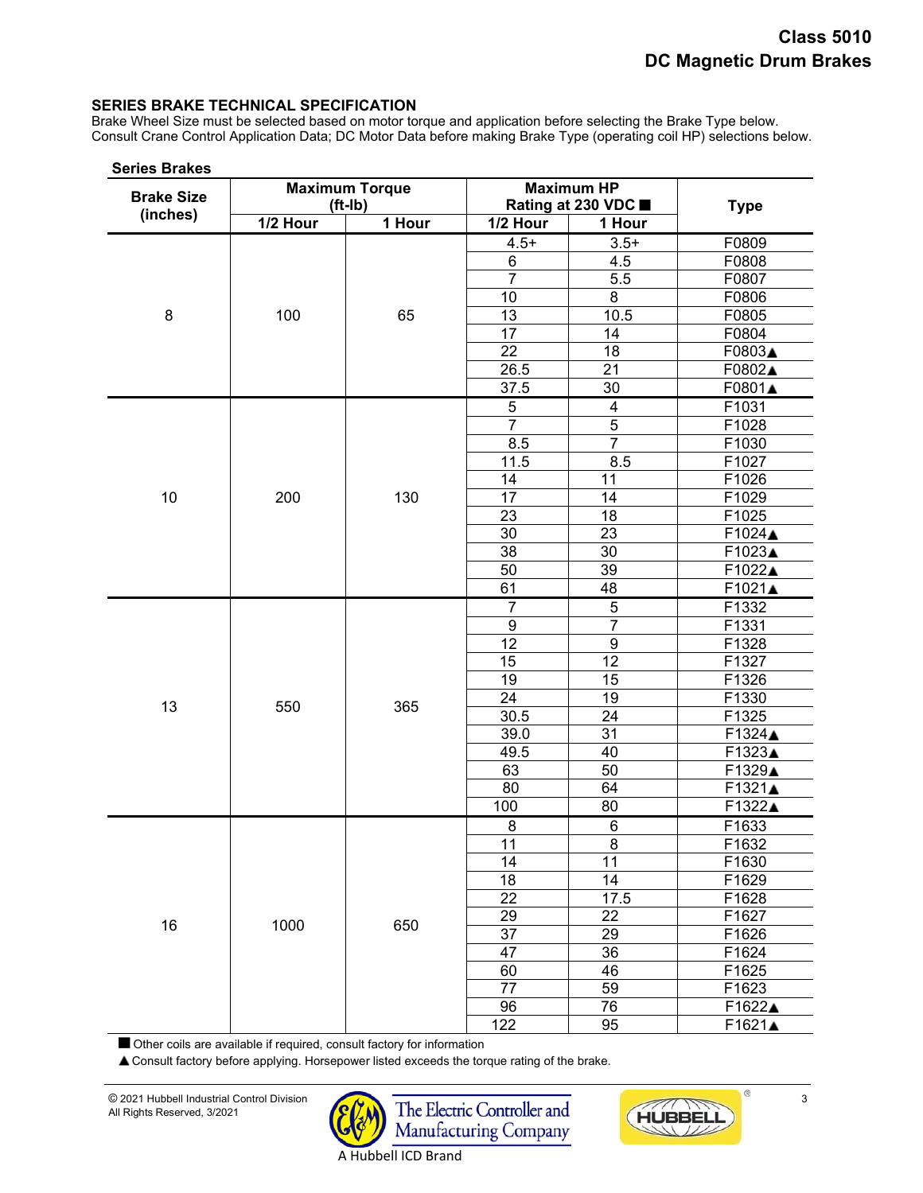## **SERIES BRAKE TECHNICAL SPECIFICATION**

Brake Wheel Size must be selected based on motor torque and application before selecting the Brake Type below. Consult Crane Control Application Data; DC Motor Data before making Brake Type (operating coil HP) selections below.

| <b>Brake Size</b> |          | <b>Maximum Torque</b><br>$(ft-lb)$ |                  | <b>Maximum HP</b><br>Rating at 230 VDC ■ | <b>Type</b>    |
|-------------------|----------|------------------------------------|------------------|------------------------------------------|----------------|
| (inches)          | 1/2 Hour | 1 Hour                             | 1/2 Hour         | 1 Hour                                   |                |
|                   |          |                                    | $4.5+$           | $3.5+$                                   | F0809          |
|                   |          |                                    | 6                | 4.5                                      | F0808          |
|                   |          |                                    | $\overline{7}$   | $5.\overline{5}$                         | F0807          |
|                   |          |                                    | 10               | 8                                        | F0806          |
| 8                 | 100      | 65                                 | 13               | 10.5                                     | F0805          |
|                   |          |                                    | 17               | 14                                       | F0804          |
|                   |          |                                    | 22               | 18                                       | F0803▲         |
|                   |          |                                    | 26.5             | 21                                       | F0802▲         |
|                   |          |                                    | 37.5             | 30                                       | F0801▲         |
|                   |          |                                    | $\mathbf 5$      | $\overline{\mathbf{4}}$                  | F1031          |
|                   |          |                                    | $\overline{7}$   | $\overline{5}$                           | F1028          |
|                   |          |                                    | $\overline{8.5}$ | $\overline{7}$                           | F1030          |
|                   |          |                                    | 11.5             | 8.5                                      | F1027          |
|                   |          |                                    | 14               | 11                                       | F1026          |
| 10                | 200      | 130                                | 17               | 14                                       | F1029          |
|                   |          |                                    | 23               | $\overline{18}$                          | F1025          |
|                   |          |                                    | $\overline{30}$  | $\overline{23}$                          | F1024▲         |
|                   |          |                                    | $\overline{38}$  | 30                                       | F1023▲         |
|                   |          |                                    | 50               | 39                                       | F1022▲         |
|                   |          |                                    | 61               | 48                                       | F1021▲         |
|                   |          |                                    | $\overline{7}$   | 5                                        | F1332          |
|                   |          |                                    | $\boldsymbol{9}$ | $\overline{7}$                           | F1331          |
|                   |          |                                    | 12               | $\overline{9}$                           | F1328          |
|                   |          |                                    | 15               | $\overline{12}$                          | F1327          |
|                   |          |                                    | 19               | 15                                       | F1326          |
| 13                | 550      | 365                                | 24               | 19                                       | F1330          |
|                   |          |                                    | 30.5             | 24                                       | F1325          |
|                   |          |                                    | 39.0             | 31                                       | F1324▲         |
|                   |          |                                    | 49.5             | 40                                       | F1323▲         |
|                   |          |                                    | 63               | 50                                       | F1329▲         |
|                   |          |                                    | 80               | 64                                       | F1321▲         |
|                   |          |                                    | 100              | 80                                       | F1322▲         |
|                   |          |                                    | 8                | 6                                        | F1633          |
|                   |          |                                    | 11               | 8                                        | F1632          |
|                   |          |                                    | 14               | 11                                       | F1630          |
|                   |          |                                    | 18               | 14<br>17.5                               | F1629          |
|                   |          |                                    | 22<br>29         | 22                                       | F1628          |
| 16                | 1000     | 650                                | 37               | 29                                       | F1627<br>F1626 |
|                   |          |                                    | 47               | 36                                       | F1624          |
|                   |          |                                    | 60               | 46                                       | F1625          |
|                   |          |                                    | 77               | 59                                       | F1623          |
|                   |          |                                    | 96               | 76                                       | F1622▲         |
|                   |          |                                    | 122              | 95                                       | F1621▲         |

Other coils are available if required, consult factory for information

Consult factory before applying. Horsepower listed exceeds the torque rating of the brake.



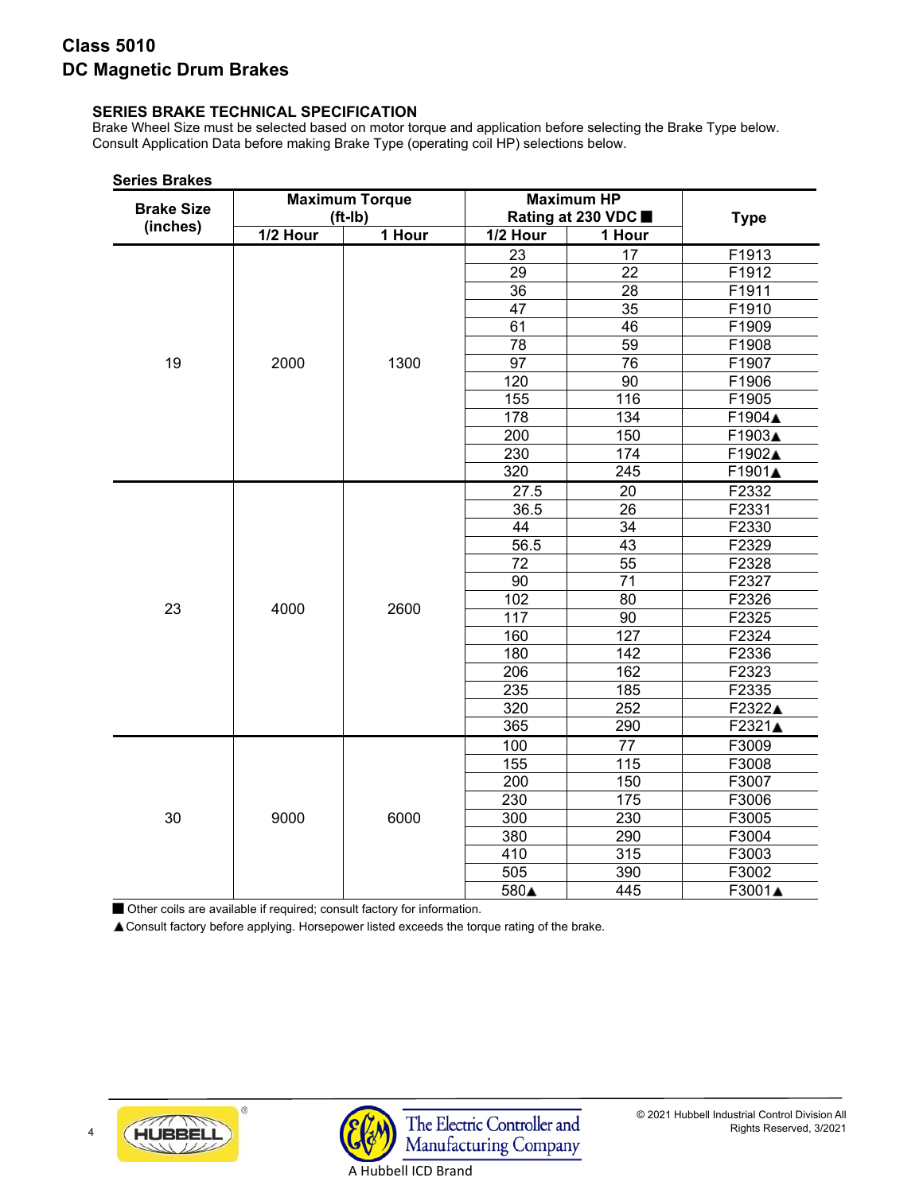# **SERIES BRAKE TECHNICAL SPECIFICATION**

Brake Wheel Size must be selected based on motor torque and application before selecting the Brake Type below. Consult Application Data before making Brake Type (operating coil HP) selections below.

| <b>Brake Size</b> |            | <b>Maximum Torque</b><br>$(ft-lb)$ |                 | <b>Maximum HP</b><br>Rating at 230 VDC ■ | <b>Type</b> |
|-------------------|------------|------------------------------------|-----------------|------------------------------------------|-------------|
| (inches)          | $1/2$ Hour | 1 Hour                             | 1/2 Hour        | 1 Hour                                   |             |
|                   |            |                                    | 23              | 17                                       | F1913       |
|                   |            |                                    | $\overline{29}$ | $\overline{22}$                          | F1912       |
|                   |            |                                    | $\overline{36}$ | 28                                       | F1911       |
|                   |            |                                    | 47              | $\overline{35}$                          | F1910       |
|                   |            |                                    | 61              | 46                                       | F1909       |
|                   |            |                                    | 78              | $\overline{59}$                          | F1908       |
| 19                | 2000       | 1300                               | $\overline{97}$ | 76                                       | F1907       |
|                   |            |                                    | 120             | 90                                       | F1906       |
|                   |            |                                    | 155             | 116                                      | F1905       |
|                   |            |                                    | 178             | 134                                      | F1904▲      |
|                   |            |                                    | 200             | 150                                      | F1903▲      |
|                   |            |                                    | 230             | 174                                      | F1902▲      |
|                   |            |                                    | 320             | 245                                      | F1901▲      |
|                   |            |                                    | 27.5            | 20                                       | F2332       |
|                   |            |                                    | 36.5            | 26                                       | F2331       |
|                   |            |                                    | 44              | 34                                       | F2330       |
|                   |            |                                    | 56.5            | 43                                       | F2329       |
|                   |            |                                    | 72              | $\overline{55}$                          | F2328       |
|                   |            |                                    | 90              | 71                                       | F2327       |
| 23                | 4000       | 2600                               | 102             | 80                                       | F2326       |
|                   |            |                                    | 117             | 90                                       | F2325       |
|                   |            |                                    | 160             | 127                                      | F2324       |
|                   |            |                                    | 180             | 142                                      | F2336       |
|                   |            |                                    | 206             | 162                                      | F2323       |
|                   |            |                                    | 235             | 185                                      | F2335       |
|                   |            |                                    | 320             | 252                                      | F2322▲      |
|                   |            |                                    | 365             | 290                                      | F2321▲      |
|                   |            |                                    | 100             | 77                                       | F3009       |
|                   |            |                                    | 155             | 115                                      | F3008       |
|                   |            |                                    | 200             | 150                                      | F3007       |
|                   |            |                                    | 230             | 175                                      | F3006       |
| 30                | 9000       | 6000                               | 300             | 230                                      | F3005       |
|                   |            |                                    | 380             | 290                                      | F3004       |
|                   |            |                                    | 410             | 315                                      | F3003       |
|                   |            |                                    | 505             | 390                                      | F3002       |
|                   |            |                                    | 580▲            | 445                                      | F3001▲      |

**Series Brakes**

Other coils are available if required; consult factory for information.

Consult factory before applying. Horsepower listed exceeds the torque rating of the brake.



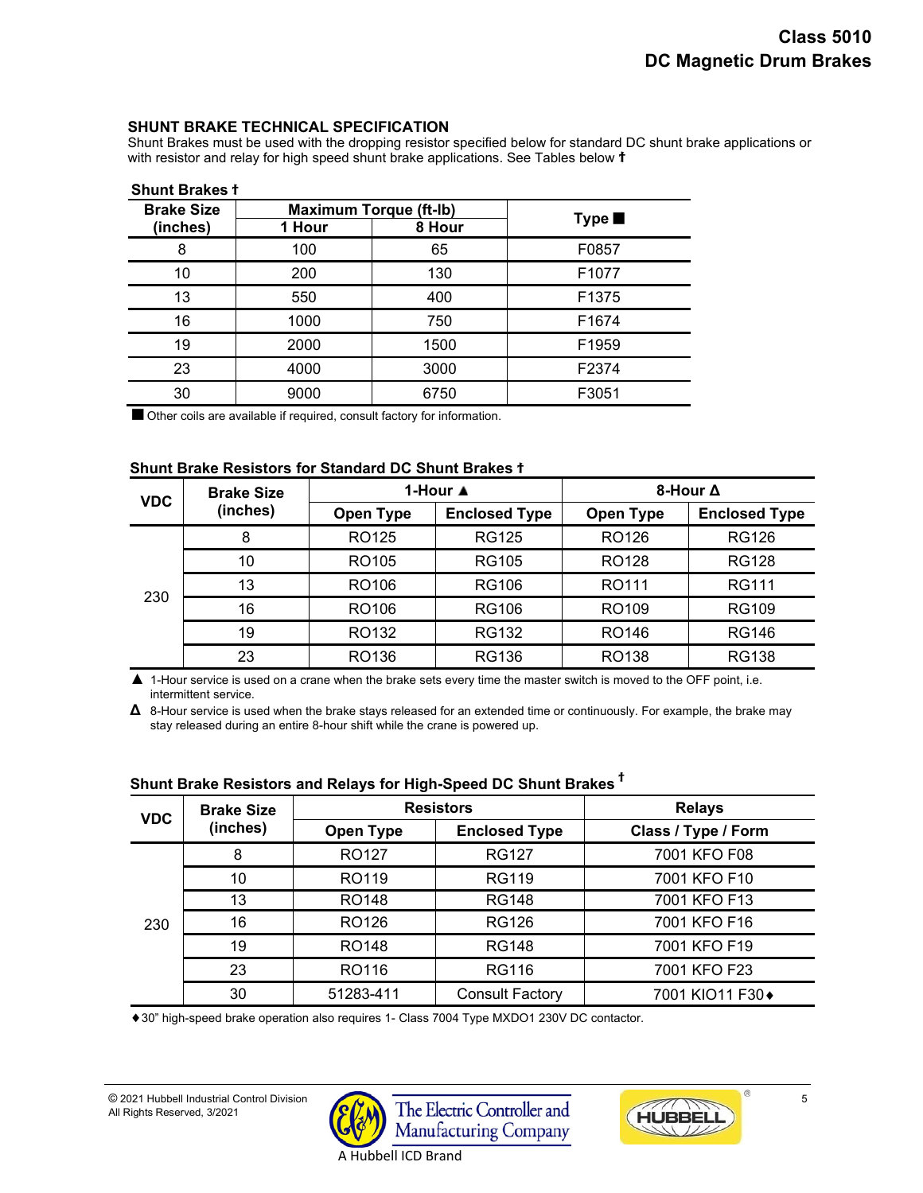### **SHUNT BRAKE TECHNICAL SPECIFICATION**

Shunt Brakes must be used with the dropping resistor specified below for standard DC shunt brake applications or with resistor and relay for high speed shunt brake applications. See Tables below **ϯ**

| <b>Shunt Brakes</b> 1 |        |                               |                |  |  |
|-----------------------|--------|-------------------------------|----------------|--|--|
| <b>Brake Size</b>     |        | <b>Maximum Torque (ft-lb)</b> |                |  |  |
| (inches)              | 1 Hour | 8 Hour                        | Type <b>ii</b> |  |  |
| 8                     | 100    | 65                            | F0857          |  |  |
| 10                    | 200    | 130                           | F1077          |  |  |
| 13                    | 550    | 400                           | F1375          |  |  |
| 16                    | 1000   | 750                           | F1674          |  |  |
| 19                    | 2000   | 1500                          | F1959          |  |  |
| 23                    | 4000   | 3000                          | F2374          |  |  |
| 30                    | 9000   | 6750                          | F3051          |  |  |

**Shunt Brakes ϯ** 

Other coils are available if required, consult factory for information.

# **Shunt Brake Resistors for Standard DC Shunt Brakes ϯ**

| <b>VDC</b> | <b>Brake Size</b> |                   | 1-Hour ▲             | 8-Hour ∆          |                      |  |
|------------|-------------------|-------------------|----------------------|-------------------|----------------------|--|
|            | (inches)          | Open Type         | <b>Enclosed Type</b> | <b>Open Type</b>  | <b>Enclosed Type</b> |  |
| 230        | 8                 | RO125             | <b>RG125</b>         | RO126             | <b>RG126</b>         |  |
|            | 10                | RO105             | <b>RG105</b>         | RO128             | <b>RG128</b>         |  |
|            | 13                | RO106             | RG106                | RO111             | <b>RG111</b>         |  |
|            | 16                | RO <sub>106</sub> | <b>RG106</b>         | RO <sub>109</sub> | <b>RG109</b>         |  |
|            | 19                | RO132             | <b>RG132</b>         | RO146             | <b>RG146</b>         |  |
|            | 23                | RO136             | <b>RG136</b>         | RO138             | <b>RG138</b>         |  |

**▲** 1-Hour service is used on a crane when the brake sets every time the master switch is moved to the OFF point, i.e. intermittent service.

**Δ** 8-Hour service is used when the brake stays released for an extended time or continuously. For example, the brake may stay released during an entire 8-hour shift while the crane is powered up.

| <b>VDC</b> | <b>Brake Size</b> |                   | <b>Resistors</b>       | <b>Relays</b>       |  |  |  |
|------------|-------------------|-------------------|------------------------|---------------------|--|--|--|
|            | (inches)          | Open Type         | <b>Enclosed Type</b>   | Class / Type / Form |  |  |  |
| 230        | 8                 | RO127             | <b>RG127</b>           | 7001 KFO F08        |  |  |  |
|            | 10                | RO119             | <b>RG119</b>           | 7001 KFO F10        |  |  |  |
|            | 13                | RO <sub>148</sub> | <b>RG148</b>           | 7001 KFO F13        |  |  |  |
|            | 16                | RO126             | <b>RG126</b>           | 7001 KFO F16        |  |  |  |
|            | 19                | RO148             | <b>RG148</b>           | 7001 KFO F19        |  |  |  |
|            | 23                | RO116             | <b>RG116</b>           | 7001 KFO F23        |  |  |  |
|            | 30                | 51283-411         | <b>Consult Factory</b> | 7001 KIO11 F30◆     |  |  |  |

# **Shunt Brake Resistors and Relays for High-Speed DC Shunt Brakes <sup>ϯ</sup>**

30" high-speed brake operation also requires 1- Class 7004 Type MXDO1 230V DC contactor.



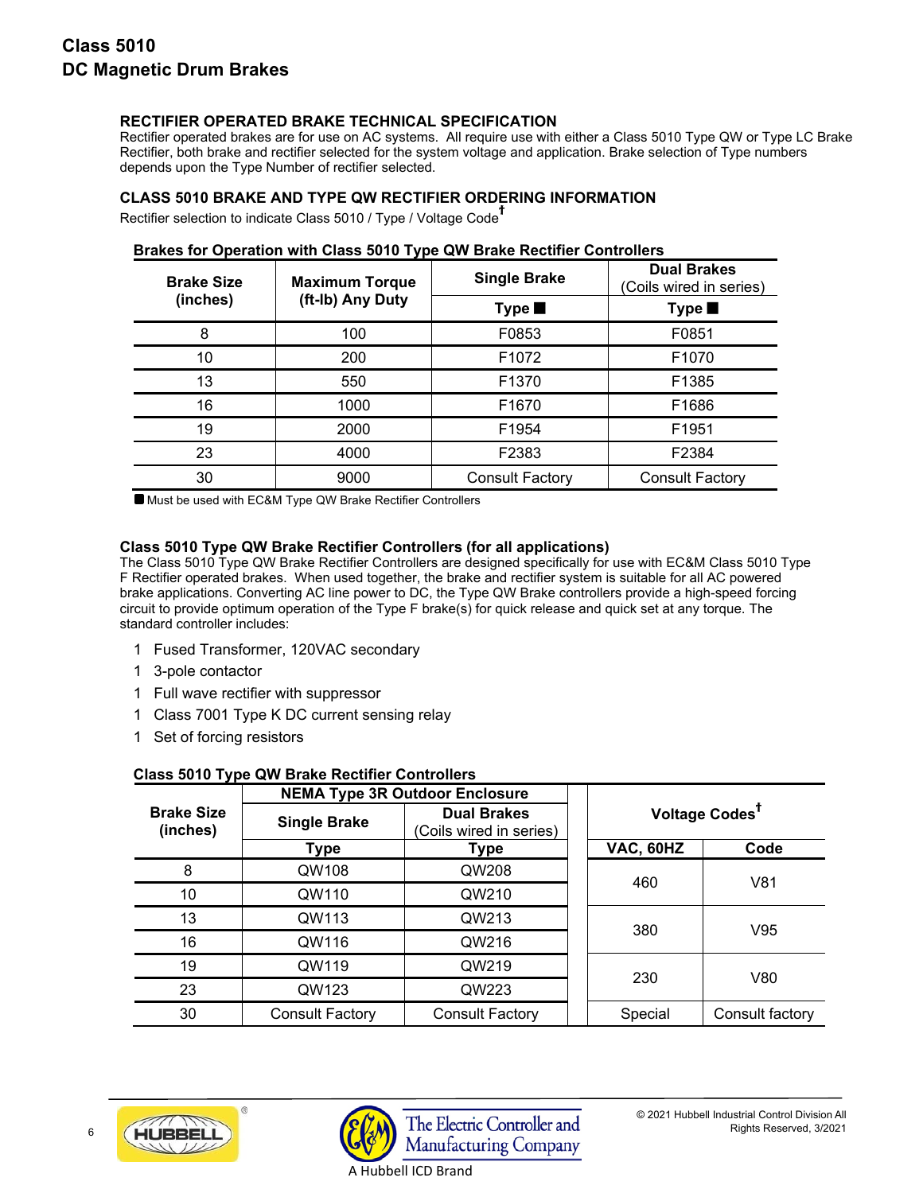# **RECTIFIER OPERATED BRAKE TECHNICAL SPECIFICATION**

Rectifier operated brakes are for use on AC systems. All require use with either a Class 5010 Type QW or Type LC Brake Rectifier, both brake and rectifier selected for the system voltage and application. Brake selection of Type numbers depends upon the Type Number of rectifier selected.

# **CLASS 5010 BRAKE AND TYPE QW RECTIFIER ORDERING INFORMATION**

Rectifier selection to indicate Class 5010 / Type / Voltage Code **ϯ** 

| <b>Brake Size</b> | <b>Maximum Torque</b> | <b>Single Brake</b>    | <b>Dual Brakes</b><br>(Coils wired in series) |
|-------------------|-----------------------|------------------------|-----------------------------------------------|
| (inches)          | (ft-Ib) Any Duty      | Type <b>ii</b>         | Type <b>ii</b>                                |
| 8                 | 100                   | F0853                  | F0851                                         |
| 10                | 200                   | F1072                  | F1070                                         |
| 13                | 550                   | F1370                  | F1385                                         |
| 16                | 1000                  | F1670                  | F1686                                         |
| 19                | 2000                  | F1954                  | F1951                                         |
| 23                | 4000                  | F2383                  | F2384                                         |
| 30                | 9000                  | <b>Consult Factory</b> | <b>Consult Factory</b>                        |

# **Brakes for Operation with Class 5010 Type QW Brake Rectifier Controllers**

Must be used with EC&M Type QW Brake Rectifier Controllers

# **Class 5010 Type QW Brake Rectifier Controllers (for all applications)**

The Class 5010 Type QW Brake Rectifier Controllers are designed specifically for use with EC&M Class 5010 Type F Rectifier operated brakes. When used together, the brake and rectifier system is suitable for all AC powered brake applications. Converting AC line power to DC, the Type QW Brake controllers provide a high-speed forcing circuit to provide optimum operation of the Type F brake(s) for quick release and quick set at any torque. The standard controller includes:

- 1 Fused Transformer, 120VAC secondary
- 1 3-pole contactor
- 1 Full wave rectifier with suppressor
- 1 Class 7001 Type K DC current sensing relay
- 1 Set of forcing resistors

|                               |                        | <b>NEMA Type 3R Outdoor Enclosure</b>         |  |                            |                 |  |  |
|-------------------------------|------------------------|-----------------------------------------------|--|----------------------------|-----------------|--|--|
| <b>Brake Size</b><br>(inches) | <b>Single Brake</b>    | <b>Dual Brakes</b><br>(Coils wired in series) |  | Voltage Codes <sup>T</sup> |                 |  |  |
|                               | Type                   | Type                                          |  | VAC, 60HZ                  | Code            |  |  |
| 8                             | QW108                  | QW208                                         |  | 460                        | V81             |  |  |
| 10                            | QW110                  | QW210                                         |  |                            |                 |  |  |
| 13                            | QW113                  | QW213                                         |  | 380                        | V95             |  |  |
| 16                            | QW116                  | QW216                                         |  |                            |                 |  |  |
| 19                            | QW119                  | QW219                                         |  | 230                        | V80             |  |  |
| 23                            | QW123                  | QW223                                         |  |                            |                 |  |  |
| 30                            | <b>Consult Factory</b> | <b>Consult Factory</b>                        |  | Special                    | Consult factory |  |  |

# **Class 5010 Type QW Brake Rectifier Controllers**



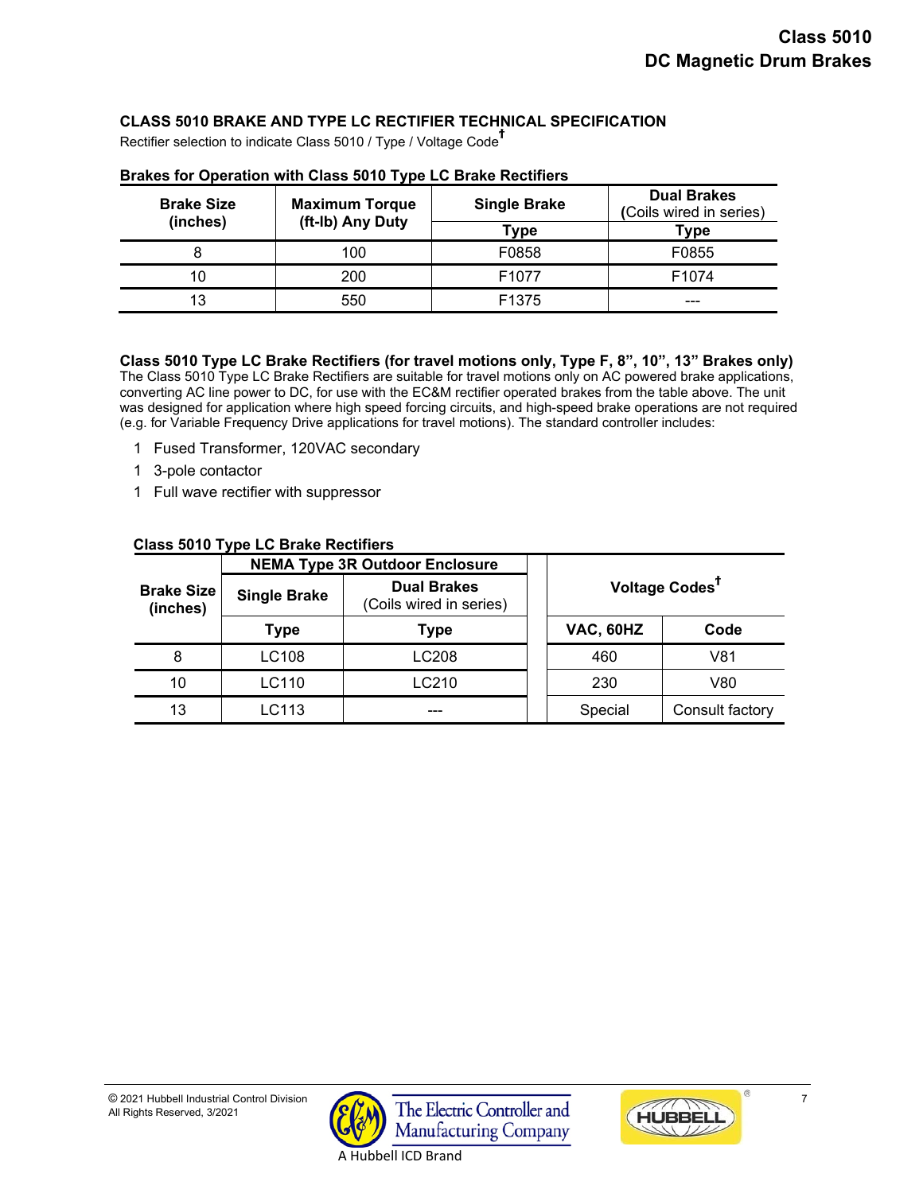# **CLASS 5010 BRAKE AND TYPE LC RECTIFIER TECHNICAL SPECIFICATION**

Rectifier selection to indicate Class 5010 / Type / Voltage Code **ϯ**

| <b>Brake Size</b><br>(inches) | <b>Maximum Torque</b><br>(ft-Ib) Any Duty | <b>Single Brake</b> | <b>Dual Brakes</b><br>(Coils wired in series) |
|-------------------------------|-------------------------------------------|---------------------|-----------------------------------------------|
|                               |                                           | Туре                | Type                                          |
|                               | 100                                       | F0858               | F0855                                         |
| 10                            | 200                                       | F <sub>1077</sub>   | F <sub>1074</sub>                             |
| 13                            | 550                                       | F <sub>1375</sub>   | ---                                           |

#### **Brakes for Operation with Class 5010 Type LC Brake Rectifiers**

# **Class 5010 Type LC Brake Rectifiers (for travel motions only, Type F, 8", 10", 13" Brakes only)**

The Class 5010 Type LC Brake Rectifiers are suitable for travel motions only on AC powered brake applications, converting AC line power to DC, for use with the EC&M rectifier operated brakes from the table above. The unit was designed for application where high speed forcing circuits, and high-speed brake operations are not required (e.g. for Variable Frequency Drive applications for travel motions). The standard controller includes:

- 1 Fused Transformer, 120VAC secondary
- 1 3-pole contactor
- 1 Full wave rectifier with suppressor

|                               |                     |                                               | $\frac{1}{2}$ |           |                            |  |  |  |  |
|-------------------------------|---------------------|-----------------------------------------------|---------------|-----------|----------------------------|--|--|--|--|
|                               |                     | <b>NEMA Type 3R Outdoor Enclosure</b>         |               |           |                            |  |  |  |  |
| <b>Brake Size</b><br>(inches) | <b>Single Brake</b> | <b>Dual Brakes</b><br>(Coils wired in series) |               |           | Voltage Codes <sup>T</sup> |  |  |  |  |
|                               | <b>Type</b>         | Type                                          |               | VAC, 60HZ | Code                       |  |  |  |  |
| 8                             | LC108               | LC208                                         |               | 460       | V81                        |  |  |  |  |
| 10                            | LC110               | LC210                                         |               | 230       | V80                        |  |  |  |  |
| 13                            | LC113               | ---                                           |               | Special   | Consult factory            |  |  |  |  |

#### **Class 5010 Type LC Brake Rectifiers**



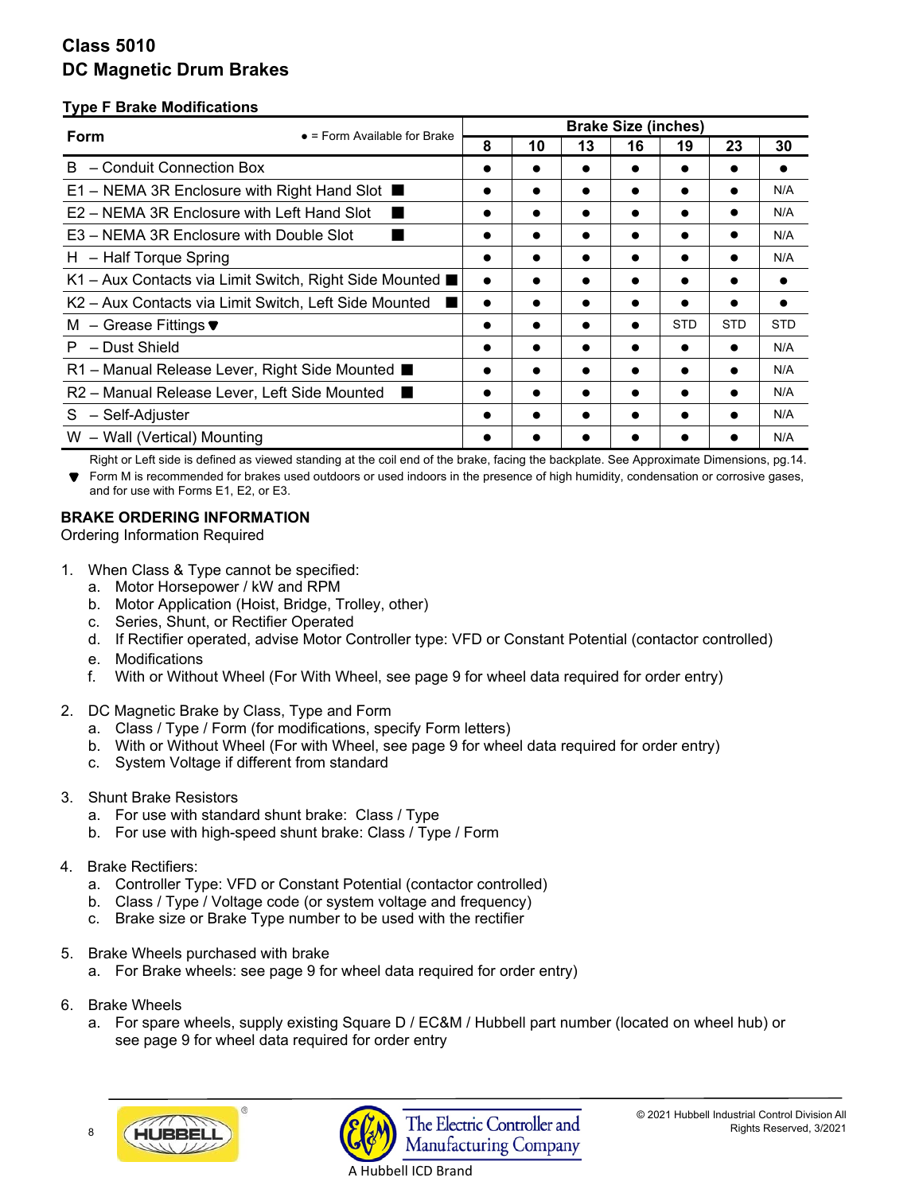# **Type F Brake Modifications**

| Form                                                       | $\bullet$ = Form Available for Brake | <b>Brake Size (inches)</b> |           |           |           |            |            |            |
|------------------------------------------------------------|--------------------------------------|----------------------------|-----------|-----------|-----------|------------|------------|------------|
|                                                            |                                      | 8                          | 10        | 13        | 16        | 19         | 23         | 30         |
| B.<br>- Conduit Connection Box                             |                                      | $\bullet$                  | $\bullet$ |           |           |            |            |            |
| E1 – NEMA 3R Enclosure with Right Hand Slot $\blacksquare$ |                                      | $\bullet$                  | $\bullet$ |           | $\bullet$ |            | $\bullet$  | N/A        |
| E2 – NEMA 3R Enclosure with Left Hand Slot                 |                                      | $\bullet$                  | $\bullet$ |           |           |            |            | N/A        |
| E3 – NEMA 3R Enclosure with Double Slot                    |                                      | $\bullet$                  | $\bullet$ |           | $\bullet$ |            | $\bullet$  | N/A        |
| H - Half Torque Spring                                     |                                      |                            | $\bullet$ |           |           |            |            | N/A        |
| K1 – Aux Contacts via Limit Switch, Right Side Mounted ■   |                                      | $\bullet$                  |           |           |           |            |            |            |
| K2 - Aux Contacts via Limit Switch, Left Side Mounted      |                                      | $\bullet$                  | $\bullet$ | $\bullet$ | $\bullet$ |            |            |            |
| M – Grease Fittings $\blacktriangledown$                   |                                      |                            | $\bullet$ |           | $\bullet$ | <b>STD</b> | <b>STD</b> | <b>STD</b> |
| $P - Dust Shield$                                          |                                      |                            |           |           |           |            |            | N/A        |
| R1 – Manual Release Lever, Right Side Mounted ■            |                                      | $\bullet$                  | $\bullet$ |           |           |            |            | N/A        |
| R2 - Manual Release Lever, Left Side Mounted               |                                      |                            |           |           |           |            |            | N/A        |
| S - Self-Adjuster                                          |                                      |                            |           |           |           |            |            | N/A        |
| W - Wall (Vertical) Mounting                               |                                      |                            |           |           |           |            |            | N/A        |

 Right or Left side is defined as viewed standing at the coil end of the brake, facing the backplate. See Approximate Dimensions, pg.14. Form M is recommended for brakes used outdoors or used indoors in the presence of high humidity, condensation or corrosive gases, and for use with Forms E1, E2, or E3.

# **BRAKE ORDERING INFORMATION**

Ordering Information Required

- 1. When Class & Type cannot be specified:
	- a. Motor Horsepower / kW and RPM
	- b. Motor Application (Hoist, Bridge, Trolley, other)
	- c. Series, Shunt, or Rectifier Operated
	- d. If Rectifier operated, advise Motor Controller type: VFD or Constant Potential (contactor controlled)
	- e. Modifications
	- f. With or Without Wheel (For With Wheel, see page 9 for wheel data required for order entry)
- 2. DC Magnetic Brake by Class, Type and Form
	- a. Class / Type / Form (for modifications, specify Form letters)
	- b. With or Without Wheel (For with Wheel, see page 9 for wheel data required for order entry)
	- c. System Voltage if different from standard
- 3. Shunt Brake Resistors
	- a. For use with standard shunt brake: Class / Type
	- b. For use with high-speed shunt brake: Class / Type / Form
- 4. Brake Rectifiers:
	- a. Controller Type: VFD or Constant Potential (contactor controlled)
	- b. Class / Type / Voltage code (or system voltage and frequency)
	- c. Brake size or Brake Type number to be used with the rectifier
- 5. Brake Wheels purchased with brake
	- a. For Brake wheels: see page 9 for wheel data required for order entry)
- 6. Brake Wheels
	- a. For spare wheels, supply existing Square D / EC&M / Hubbell part number (located on wheel hub) or see page 9 for wheel data required for order entry

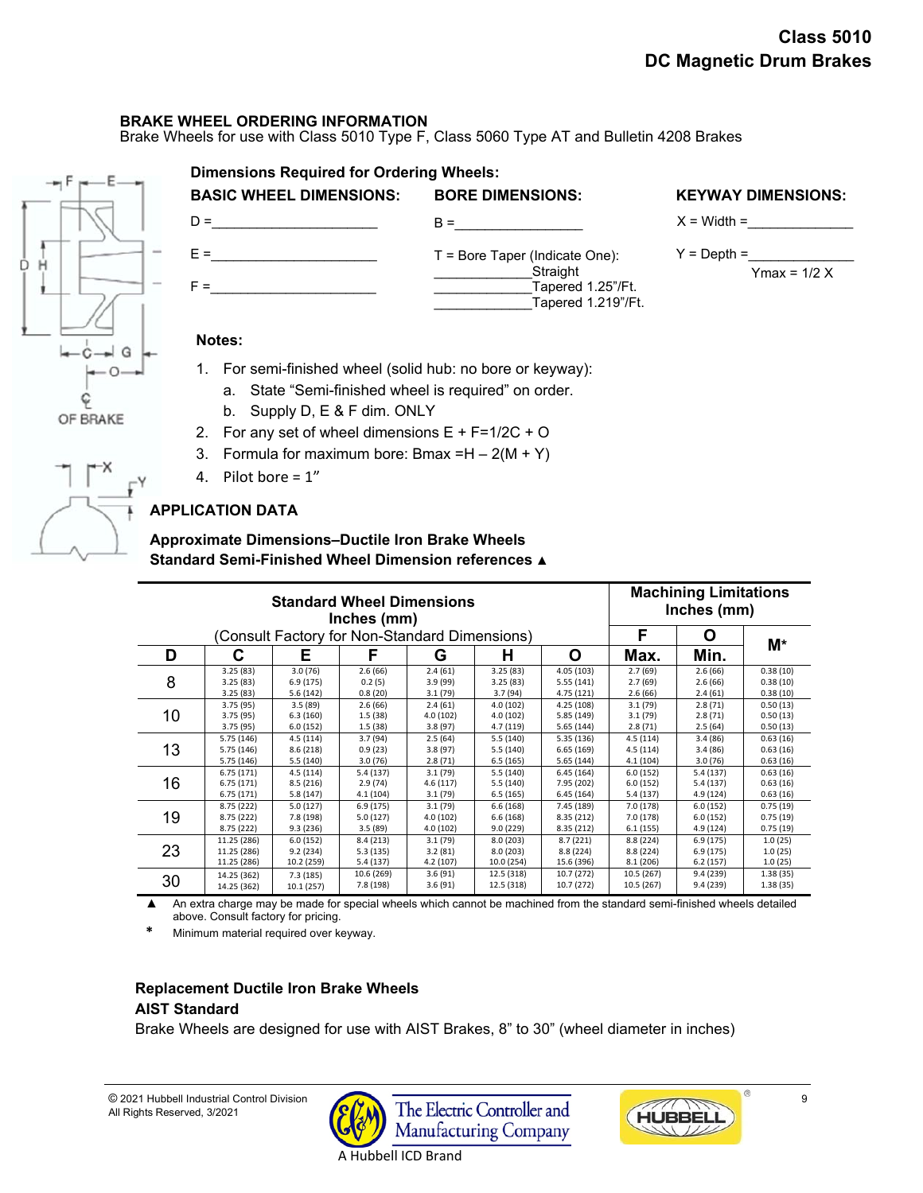# **BRAKE WHEEL ORDERING INFORMATION**

 $D = \$ E =\_\_\_\_\_\_\_\_\_\_\_\_\_\_\_\_\_\_\_\_\_\_

Brake Wheels for use with Class 5010 Type F, Class 5060 Type AT and Bulletin 4208 Brakes

 $B =$ 

T = Bore Taper (Indicate One):

**Straight** 

\_\_\_\_\_\_\_\_\_\_\_\_\_Tapered 1.25"/Ft. \_\_\_\_\_\_\_\_\_\_\_\_\_Tapered 1.219"/Ft.



| <b>Dimensions Required for Ordering Wheels:</b> |                         |                           |  |  |
|-------------------------------------------------|-------------------------|---------------------------|--|--|
| <b>BASIC WHEEL DIMENSIONS:</b>                  | <b>BORE DIMENSIONS:</b> | <b>KEYWAY DIMENSIONS:</b> |  |  |

 $X = \text{Width} =$ 

 $Y = \text{Depth} =$ 

Ymax =  $1/2$  X

## **Notes:**

 $F =$ 

- 1. For semi-finished wheel (solid hub: no bore or keyway):
	- a. State "Semi-finished wheel is required" on order.
	- b. Supply D, E & F dim. ONLY
- 2. For any set of wheel dimensions  $E + F = 1/2C + O$
- 3. Formula for maximum bore: Bmax =  $H 2(M + Y)$
- 4. Pilot bore  $= 1$ "

# **APPLICATION DATA**

# **Approximate Dimensions–Ductile Iron Brake Wheels Standard Semi-Finished Wheel Dimension references** ▲

| <b>Standard Wheel Dimensions</b>              |             |            |            |           |            |            | <b>Machining Limitations</b> |           |          |
|-----------------------------------------------|-------------|------------|------------|-----------|------------|------------|------------------------------|-----------|----------|
| Inches (mm)                                   |             |            |            |           |            |            | Inches (mm)                  |           |          |
| (Consult Factory for Non-Standard Dimensions) |             |            |            |           |            | F          | O                            |           |          |
| D                                             | C           | Е          | F          | G         | н          | O          | Max.                         | Min.      | М*       |
| 8                                             | 3.25(83)    | 3.0(76)    | 2.6(66)    | 2.4(61)   | 3.25(83)   | 4.05(103)  | 2.7(69)                      | 2.6(66)   | 0.38(10) |
|                                               | 3.25(83)    | 6.9(175)   | 0.2(5)     | 3.9(99)   | 3.25(83)   | 5.55(141)  | 2.7(69)                      | 2.6(66)   | 0.38(10) |
|                                               | 3.25(83)    | 5.6 (142)  | 0.8(20)    | 3.1(79)   | 3.7(94)    | 4.75 (121) | 2.6(66)                      | 2.4(61)   | 0.38(10) |
| 10                                            | 3.75(95)    | 3.5(89)    | 2.6(66)    | 2.4(61)   | 4.0(102)   | 4.25(108)  | 3.1(79)                      | 2.8(71)   | 0.50(13) |
|                                               | 3.75(95)    | 6.3(160)   | 1.5(38)    | 4.0 (102) | 4.0(102)   | 5.85 (149) | 3.1(79)                      | 2.8(71)   | 0.50(13) |
|                                               | 3.75(95)    | 6.0(152)   | 1.5(38)    | 3.8(97)   | 4.7(119)   | 5.65(144)  | 2.8(71)                      | 2.5(64)   | 0.50(13) |
| 13                                            | 5.75 (146)  | 4.5(114)   | 3.7(94)    | 2.5(64)   | 5.5(140)   | 5.35 (136) | 4.5(114)                     | 3.4(86)   | 0.63(16) |
|                                               | 5.75 (146)  | 8.6(218)   | 0.9(23)    | 3.8(97)   | 5.5(140)   | 6.65(169)  | 4.5(114)                     | 3.4(86)   | 0.63(16) |
|                                               | 5.75 (146)  | 5.5(140)   | 3.0(76)    | 2.8(71)   | 6.5(165)   | 5.65 (144) | 4.1(104)                     | 3.0(76)   | 0.63(16) |
| 16                                            | 6.75(171)   | 4.5(114)   | 5.4 (137)  | 3.1(79)   | 5.5(140)   | 6.45(164)  | 6.0(152)                     | 5.4(137)  | 0.63(16) |
|                                               | 6.75(171)   | 8.5(216)   | 2.9(74)    | 4.6(117)  | 5.5 (140)  | 7.95 (202) | 6.0(152)                     | 5.4(137)  | 0.63(16) |
|                                               | 6.75(171)   | 5.8(147)   | 4.1(104)   | 3.1(79)   | 6.5(165)   | 6.45(164)  | 5.4(137)                     | 4.9 (124) | 0.63(16) |
| 19                                            | 8.75 (222)  | 5.0(127)   | 6.9(175)   | 3.1(79)   | 6.6(168)   | 7.45 (189) | 7.0 (178)                    | 6.0(152)  | 0.75(19) |
|                                               | 8.75 (222)  | 7.8 (198)  | 5.0 (127)  | 4.0(102)  | 6.6(168)   | 8.35 (212) | 7.0 (178)                    | 6.0(152)  | 0.75(19) |
|                                               | 8.75 (222)  | 9.3(236)   | 3.5(89)    | 4.0(102)  | 9.0(229)   | 8.35 (212) | 6.1(155)                     | 4.9 (124) | 0.75(19) |
| 23                                            | 11.25 (286) | 6.0(152)   | 8.4 (213)  | 3.1(79)   | 8.0(203)   | 8.7(221)   | 8.8 (224)                    | 6.9(175)  | 1.0(25)  |
|                                               | 11.25 (286) | 9.2(234)   | 5.3 (135)  | 3.2(81)   | 8.0(203)   | 8.8 (224)  | 8.8(224)                     | 6.9(175)  | 1.0(25)  |
|                                               | 11.25 (286) | 10.2 (259) | 5.4 (137)  | 4.2 (107) | 10.0 (254) | 15.6 (396) | 8.1(206)                     | 6.2(157)  | 1.0(25)  |
| 30                                            | 14.25 (362) | 7.3(185)   | 10.6 (269) | 3.6(91)   | 12.5 (318) | 10.7 (272) | 10.5 (267)                   | 9.4(239)  | 1.38(35) |
|                                               | 14.25 (362) | 10.1(257)  | 7.8 (198)  | 3.6(91)   | 12.5 (318) | 10.7 (272) | 10.5 (267)                   | 9.4(239)  | 1.38(35) |

An extra charge may be made for special wheels which cannot be machined from the standard semi-finished wheels detailed above. Consult factory for pricing.

**Minimum material required over keyway.** 

# **Replacement Ductile Iron Brake Wheels AIST Standard**

Brake Wheels are designed for use with AIST Brakes, 8" to 30" (wheel diameter in inches)



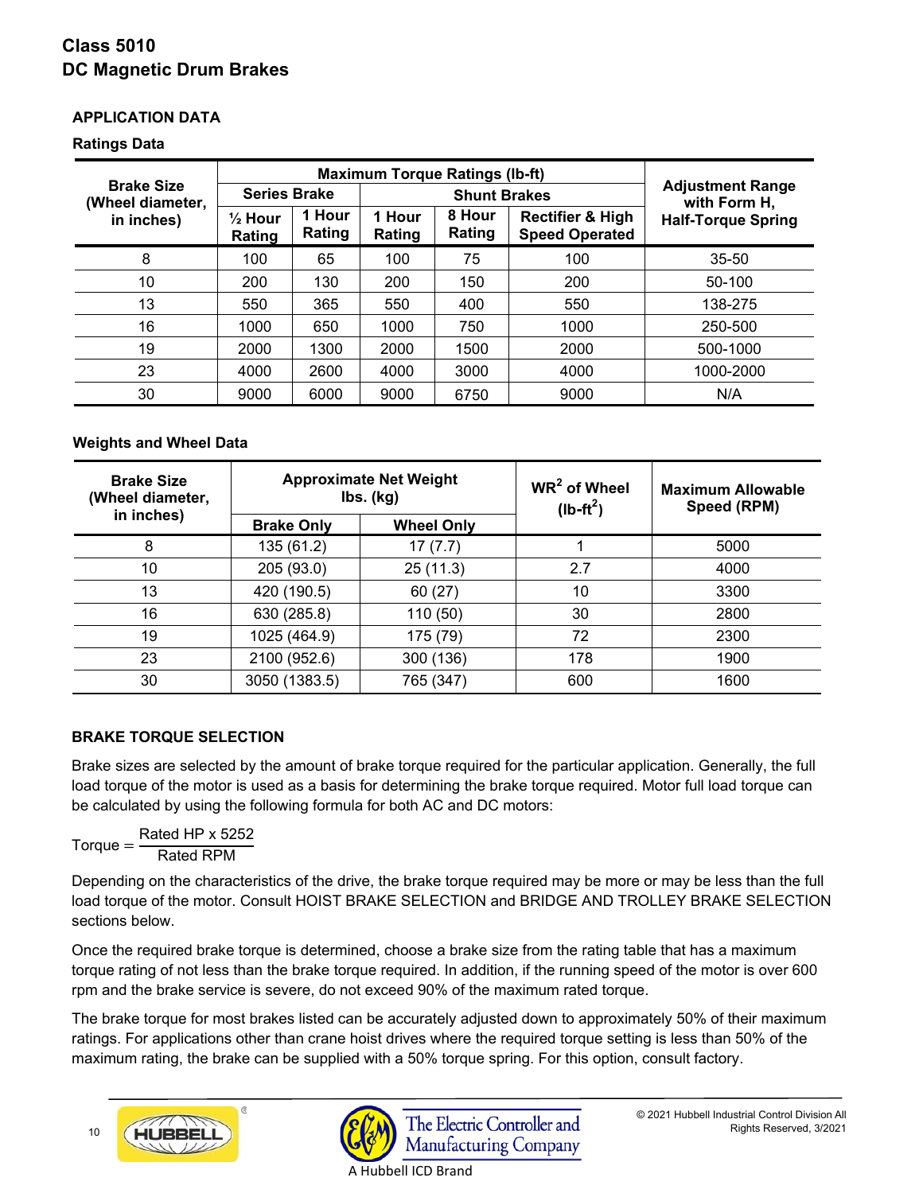# **APPLICATION DATA**

## **Ratings Data**

| <b>Maximum Torque Ratings (Ib-ft)</b> |                              |                  |                                                                                              |      |                           |                                         |
|---------------------------------------|------------------------------|------------------|----------------------------------------------------------------------------------------------|------|---------------------------|-----------------------------------------|
| <b>Brake Size</b><br>(Wheel diameter, | <b>Series Brake</b>          |                  | <b>Shunt Brakes</b>                                                                          |      |                           | <b>Adjustment Range</b><br>with Form H, |
| in inches)                            | $\frac{1}{2}$ Hour<br>Rating | 1 Hour<br>Rating | 8 Hour<br>1 Hour<br><b>Rectifier &amp; High</b><br>Rating<br><b>Speed Operated</b><br>Rating |      | <b>Half-Torque Spring</b> |                                         |
| 8                                     | 100                          | 65               | 100                                                                                          | 75   | 100                       | $35 - 50$                               |
| 10                                    | 200                          | 130              | 200                                                                                          | 150  | 200                       | $50-100$                                |
| 13                                    | 550                          | 365              | 550                                                                                          | 400  | 550                       | 138-275                                 |
| 16                                    | 1000                         | 650              | 1000                                                                                         | 750  | 1000                      | 250-500                                 |
| 19                                    | 2000                         | 1300             | 2000                                                                                         | 1500 | 2000                      | 500-1000                                |
| 23                                    | 4000                         | 2600             | 4000                                                                                         | 3000 | 4000                      | 1000-2000                               |
| 30                                    | 9000                         | 6000             | 9000                                                                                         | 6750 | 9000                      | N/A                                     |

# **Weights and Wheel Data**

| <b>Brake Size</b><br>(Wheel diameter, | <b>Approximate Net Weight</b><br>$\mathsf{lbs.}\mathsf{(kg)}$ |                   | $WR2$ of Wheel<br>$(lb-ft^2)$ | <b>Maximum Allowable</b><br>Speed (RPM) |  |
|---------------------------------------|---------------------------------------------------------------|-------------------|-------------------------------|-----------------------------------------|--|
| in inches)                            | <b>Brake Only</b>                                             | <b>Wheel Only</b> |                               |                                         |  |
| 8                                     | 135 (61.2)                                                    | 17(7.7)           |                               | 5000                                    |  |
| 10                                    | 205 (93.0)                                                    | 25(11.3)          | 2.7                           | 4000                                    |  |
| 13                                    | 420 (190.5)                                                   | 60(27)            | 10                            | 3300                                    |  |
| 16                                    | 630 (285.8)                                                   | 110 (50)          | 30                            | 2800                                    |  |
| 19                                    | 1025 (464.9)                                                  | 175 (79)          | 72                            | 2300                                    |  |
| 23                                    | 2100 (952.6)                                                  | 300 (136)         | 178                           | 1900                                    |  |
| 30                                    | 3050 (1383.5)                                                 | 765 (347)         | 600                           | 1600                                    |  |

# **BRAKE TORQUE SELECTION**

Brake sizes are selected by the amount of brake torque required for the particular application. Generally, the full load torque of the motor is used as a basis for determining the brake torque required. Motor full load torque can be calculated by using the following formula for both AC and DC motors:

 $Torque = \frac{Rated HP \times 5252}{Dctu + DDM}$ Rated RPM

Depending on the characteristics of the drive, the brake torque required may be more or may be less than the full load torque of the motor. Consult HOIST BRAKE SELECTION and BRIDGE AND TROLLEY BRAKE SELECTION sections below.

Once the required brake torque is determined, choose a brake size from the rating table that has a maximum torque rating of not less than the brake torque required. In addition, if the running speed of the motor is over 600 rpm and the brake service is severe, do not exceed 90% of the maximum rated torque.

The brake torque for most brakes listed can be accurately adjusted down to approximately 50% of their maximum ratings. For applications other than crane hoist drives where the required torque setting is less than 50% of the maximum rating, the brake can be supplied with a 50% torque spring. For this option, consult factory.



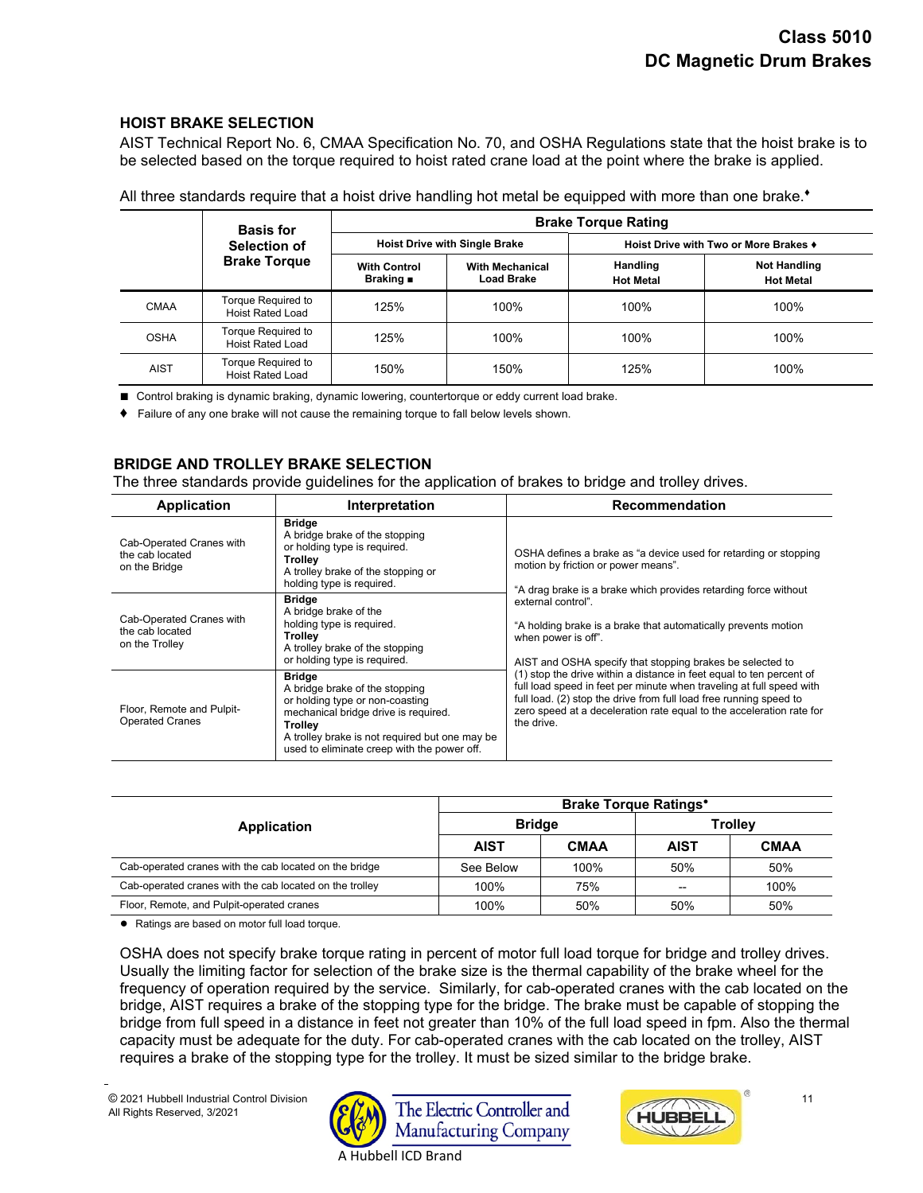# **HOIST BRAKE SELECTION**

AIST Technical Report No. 6, CMAA Specification No. 70, and OSHA Regulations state that the hoist brake is to be selected based on the torque required to hoist rated crane load at the point where the brake is applied.

|             | <b>Basis for</b>                              | <b>Brake Torque Rating</b>                    |                                             |                                            |                                         |  |
|-------------|-----------------------------------------------|-----------------------------------------------|---------------------------------------------|--------------------------------------------|-----------------------------------------|--|
|             | Selection of                                  | <b>Hoist Drive with Single Brake</b>          |                                             | Hoist Drive with Two or More Brakes $\ast$ |                                         |  |
|             | <b>Brake Torque</b>                           | <b>With Control</b><br>Braking $\blacksquare$ | <b>With Mechanical</b><br><b>Load Brake</b> | Handling<br><b>Hot Metal</b>               | <b>Not Handling</b><br><b>Hot Metal</b> |  |
| <b>CMAA</b> | Torque Required to<br><b>Hoist Rated Load</b> | 125%                                          | 100%                                        | 100%                                       | 100%                                    |  |
| <b>OSHA</b> | Torque Required to<br><b>Hoist Rated Load</b> | 125%                                          | 100%                                        | 100%                                       | 100%                                    |  |
| <b>AIST</b> | Torque Required to<br><b>Hoist Rated Load</b> | 150%                                          | 150%                                        | 125%                                       | 100%                                    |  |

All three standards require that a hoist drive handling hot metal be equipped with more than one brake.**♦**

■ Control braking is dynamic braking, dynamic lowering, countertorque or eddy current load brake.

**♦** Failure of any one brake will not cause the remaining torque to fall below levels shown.

# **BRIDGE AND TROLLEY BRAKE SELECTION**

The three standards provide guidelines for the application of brakes to bridge and trolley drives.

| <b>Application</b>                                            | Interpretation                                                                                                                                                                                                                         | Recommendation                                                                                                                                                                                                                                                                                           |
|---------------------------------------------------------------|----------------------------------------------------------------------------------------------------------------------------------------------------------------------------------------------------------------------------------------|----------------------------------------------------------------------------------------------------------------------------------------------------------------------------------------------------------------------------------------------------------------------------------------------------------|
| Cab-Operated Cranes with<br>the cab located<br>on the Bridge  | <b>Bridge</b><br>A bridge brake of the stopping<br>or holding type is required.<br>Trolley<br>A trolley brake of the stopping or<br>holding type is required.                                                                          | OSHA defines a brake as "a device used for retarding or stopping<br>motion by friction or power means".<br>"A drag brake is a brake which provides retarding force without                                                                                                                               |
| Cab-Operated Cranes with<br>the cab located<br>on the Trolley | <b>Bridge</b><br>A bridge brake of the<br>holding type is required.<br>Trollev<br>A trolley brake of the stopping<br>or holding type is required.                                                                                      | external control".<br>"A holding brake is a brake that automatically prevents motion<br>when power is off".<br>AIST and OSHA specify that stopping brakes be selected to                                                                                                                                 |
| Floor, Remote and Pulpit-<br><b>Operated Cranes</b>           | <b>Bridge</b><br>A bridge brake of the stopping<br>or holding type or non-coasting<br>mechanical bridge drive is required.<br>Trollev<br>A trolley brake is not required but one may be<br>used to eliminate creep with the power off. | (1) stop the drive within a distance in feet equal to ten percent of<br>full load speed in feet per minute when traveling at full speed with<br>full load. (2) stop the drive from full load free running speed to<br>zero speed at a deceleration rate equal to the acceleration rate for<br>the drive. |

|                                                         |               | <b>Brake Torque Ratings*</b> |                |             |  |  |
|---------------------------------------------------------|---------------|------------------------------|----------------|-------------|--|--|
| Application                                             | <b>Bridge</b> |                              | <b>Trolley</b> |             |  |  |
|                                                         | <b>AIST</b>   | <b>CMAA</b>                  | <b>AIST</b>    | <b>CMAA</b> |  |  |
| Cab-operated cranes with the cab located on the bridge  | See Below     | 100%                         | 50%            | 50%         |  |  |
| Cab-operated cranes with the cab located on the trolley | 100%          | 75%                          |                | 100%        |  |  |
| Floor, Remote, and Pulpit-operated cranes               | 100%          | 50%                          | 50%            | 50%         |  |  |

**●** Ratings are based on motor full load torque.

OSHA does not specify brake torque rating in percent of motor full load torque for bridge and trolley drives. Usually the limiting factor for selection of the brake size is the thermal capability of the brake wheel for the frequency of operation required by the service. Similarly, for cab-operated cranes with the cab located on the bridge, AIST requires a brake of the stopping type for the bridge. The brake must be capable of stopping the bridge from full speed in a distance in feet not greater than 10% of the full load speed in fpm. Also the thermal capacity must be adequate for the duty. For cab-operated cranes with the cab located on the trolley, AIST requires a brake of the stopping type for the trolley. It must be sized similar to the bridge brake.

 $\overline{a}$ 



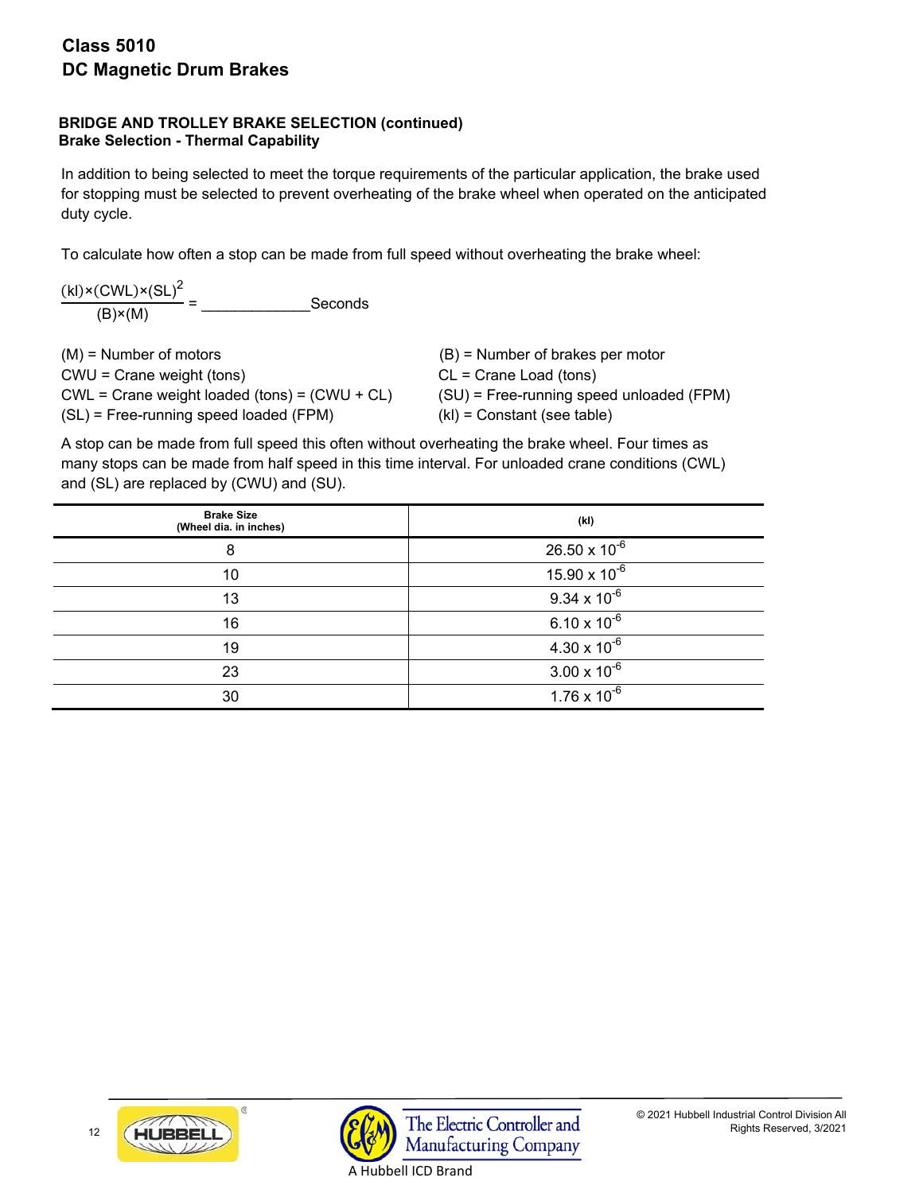# **BRIDGE AND TROLLEY BRAKE SELECTION (continued) Brake Selection - Thermal Capability**

In addition to being selected to meet the torque requirements of the particular application, the brake used for stopping must be selected to prevent overheating of the brake wheel when operated on the anticipated duty cycle.

To calculate how often a stop can be made from full speed without overheating the brake wheel:

 $(kl)$ × $(CWL)$ × $(SL)^2$ (B)×(M) = \_\_\_\_\_\_\_\_\_\_\_\_\_Seconds

| $(M)$ = Number of motors                           | $(B)$ = Number of brakes per motor         |
|----------------------------------------------------|--------------------------------------------|
| $CWU =$ Crane weight (tons)                        | $CL = C$ rane Load (tons)                  |
| $CWL = C$ rane weight loaded (tons) = $(CWU + CL)$ | $(SU)$ = Free-running speed unloaded (FPM) |
| (SL) = Free-running speed loaded (FPM)             | $(kI)$ = Constant (see table)              |

A stop can be made from full speed this often without overheating the brake wheel. Four times as many stops can be made from half speed in this time interval. For unloaded crane conditions (CWL) and (SL) are replaced by (CWU) and (SU).

| <b>Brake Size</b><br>(Wheel dia. in inches) | (kl)                   |
|---------------------------------------------|------------------------|
| 8                                           | $26.50 \times 10^{-6}$ |
| 10                                          | $15.90 \times 10^{-6}$ |
| 13                                          | $9.34 \times 10^{-6}$  |
| 16                                          | $6.10 \times 10^{-6}$  |
| 19                                          | $4.30 \times 10^{-6}$  |
| 23                                          | $3.00 \times 10^{-6}$  |
| 30                                          | $1.76 \times 10^{-6}$  |

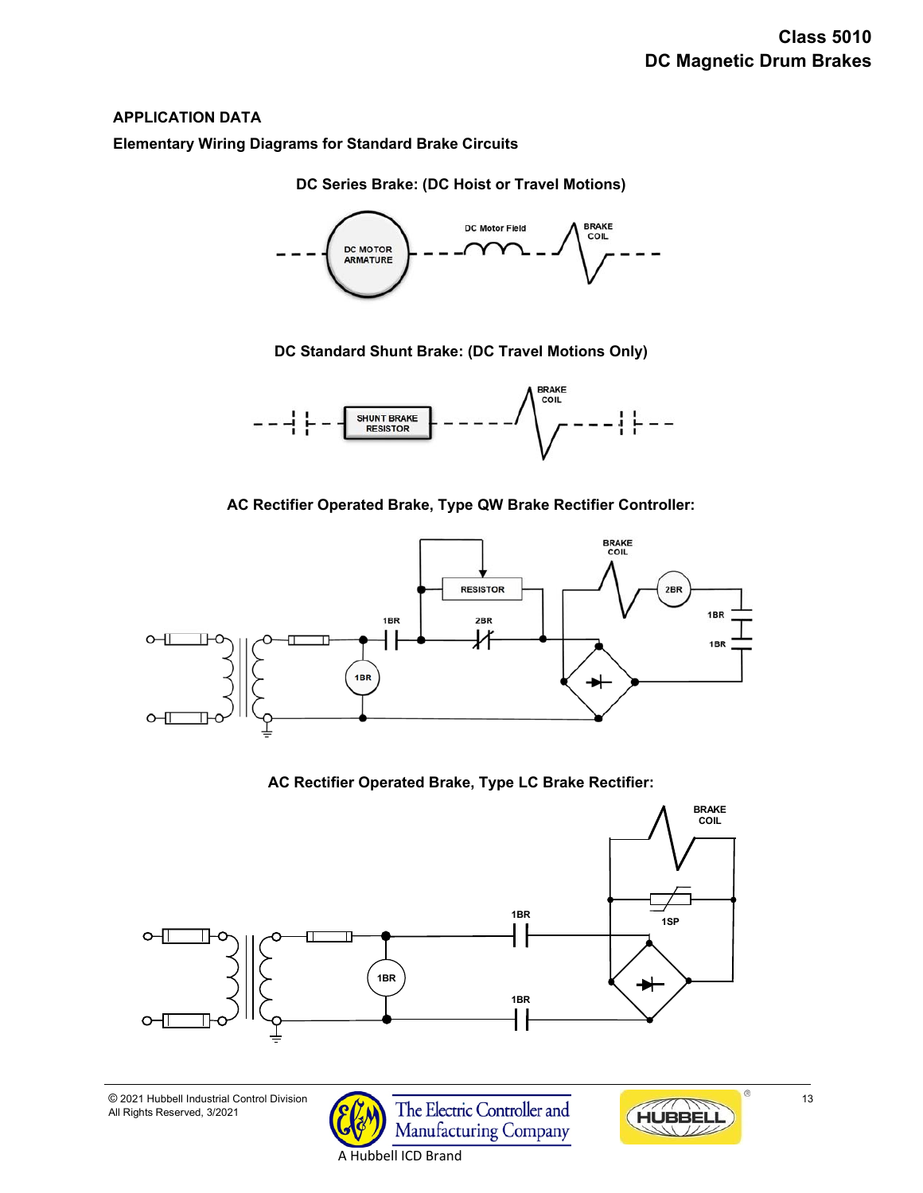# **APPLICATION DATA**

1

**Elementary Wiring Diagrams for Standard Brake Circuits**

**DC Series Brake: (DC Hoist or Travel Motions)** 



**DC Standard Shunt Brake: (DC Travel Motions Only)** 



**AC Rectifier Operated Brake, Type QW Brake Rectifier Controller:** 



# **AC Rectifier Operated Brake, Type LC Brake Rectifier:**



A Hubbell ICD Brand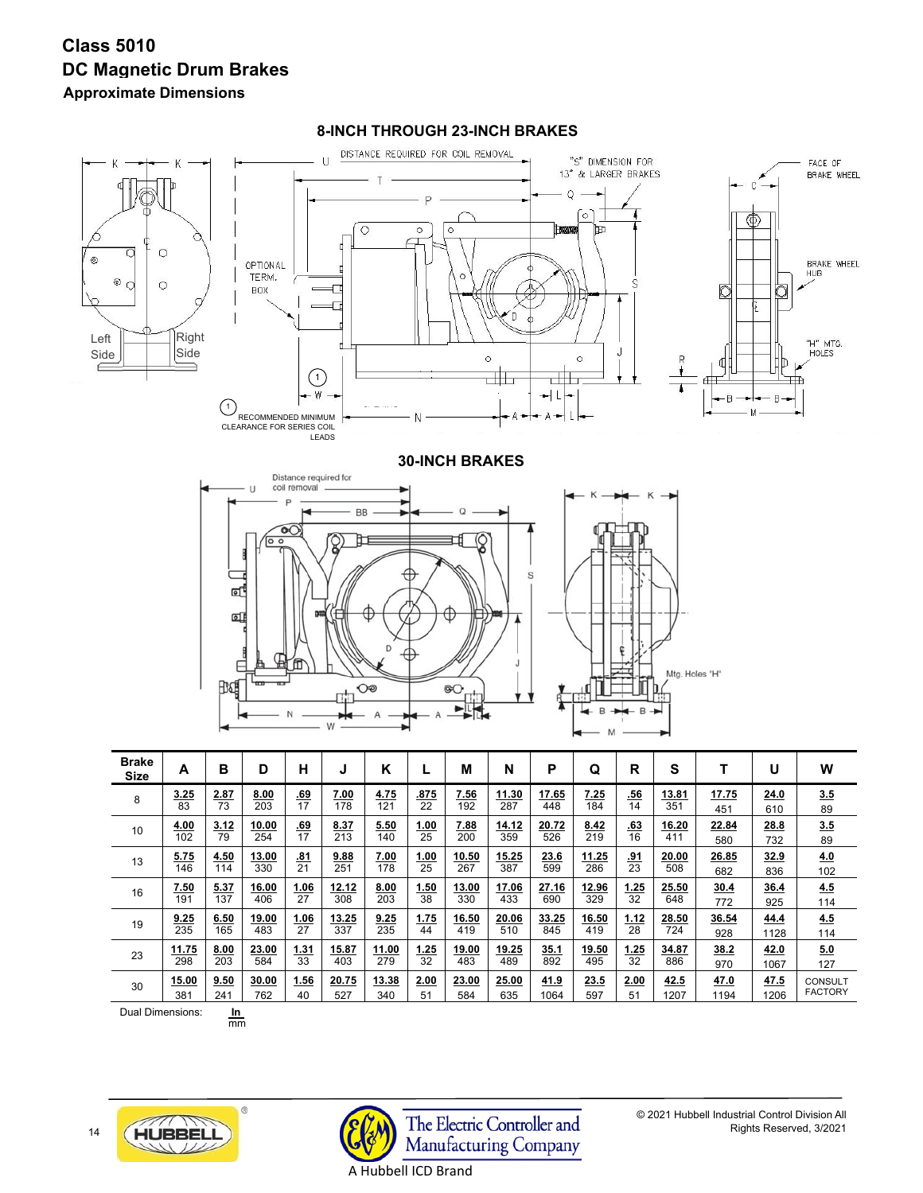# **Class 5010 DC Magnetic Drum Brakes Approximate Dimensions**



#### **8-INCH THROUGH 23-INCH BRAKES**





© 2021 Hubbell Industrial Control Division All Rights Reserved, 3/2021